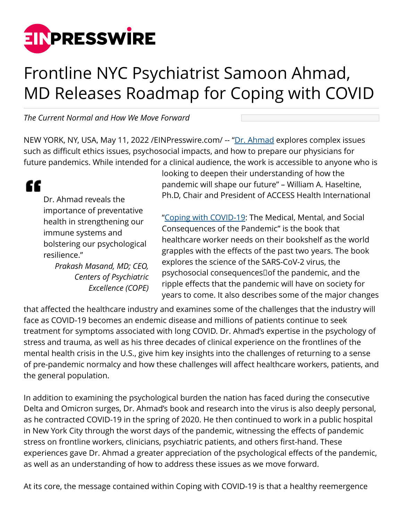

## Frontline NYC Psychiatrist Samoon Ahmad, MD Releases Roadmap for Coping with COVID

*The Current Normal and How We Move Forward*

NEW YORK, NY, USA, May 11, 2022 / [EINPresswire.com](http://www.einpresswire.com)/ -- "[Dr. Ahmad](https://samoonmd.com/about-us/about-dr-ahmad/) explores complex issues such as difficult ethics issues, psychosocial impacts, and how to prepare our physicians for future pandemics. While intended for a clinical audience, the work is accessible to anyone who is

## "

Dr. Ahmad reveals the importance of preventative health in strengthening our immune systems and bolstering our psychological resilience."

> *Prakash Masand, MD; CEO, Centers of Psychiatric Excellence (COPE)*

looking to deepen their understanding of how the pandemic will shape our future" – William A. Haseltine, Ph.D, Chair and President of ACCESS Health International

["Coping with COVID-19:](https://www.cov19book.com/) The Medical, Mental, and Social Consequences of the Pandemic" is the book that healthcare worker needs on their bookshelf as the world grapples with the effects of the past two years. The book explores the science of the SARS-CoV-2 virus, the psychosocial consequences of the pandemic, and the ripple effects that the pandemic will have on society for years to come. It also describes some of the major changes

that affected the healthcare industry and examines some of the challenges that the industry will face as COVID-19 becomes an endemic disease and millions of patients continue to seek treatment for symptoms associated with long COVID. Dr. Ahmad's expertise in the psychology of stress and trauma, as well as his three decades of clinical experience on the frontlines of the mental health crisis in the U.S., give him key insights into the challenges of returning to a sense of pre-pandemic normalcy and how these challenges will affect healthcare workers, patients, and the general population.

In addition to examining the psychological burden the nation has faced during the consecutive Delta and Omicron surges, Dr. Ahmad's book and research into the virus is also deeply personal, as he contracted COVID-19 in the spring of 2020. He then continued to work in a public hospital in New York City through the worst days of the pandemic, witnessing the effects of pandemic stress on frontline workers, clinicians, psychiatric patients, and others first-hand. These experiences gave Dr. Ahmad a greater appreciation of the psychological effects of the pandemic, as well as an understanding of how to address these issues as we move forward.

At its core, the message contained within Coping with COVID-19 is that a healthy reemergence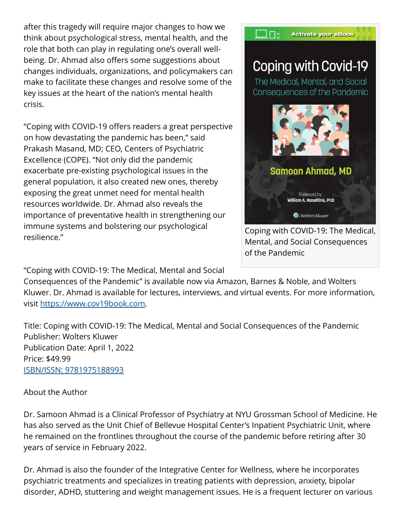after this tragedy will require major changes to how we think about psychological stress, mental health, and the role that both can play in regulating one's overall wellbeing. Dr. Ahmad also offers some suggestions about changes individuals, organizations, and policymakers can make to facilitate these changes and resolve some of the key issues at the heart of the nation's mental health crisis.

"Coping with COVID-19 offers readers a great perspective on how devastating the pandemic has been," said Prakash Masand, MD; CEO, Centers of Psychiatric Excellence (COPE). "Not only did the pandemic exacerbate pre-existing psychological issues in the general population, it also created new ones, thereby exposing the great unmet need for mental health resources worldwide. Dr. Ahmad also reveals the importance of preventative health in strengthening our immune systems and bolstering our psychological resilience."



"Coping with COVID-19: The Medical, Mental and Social

Consequences of the Pandemic" is available now via Amazon, Barnes & Noble, and Wolters Kluwer. Dr. Ahmad is available for lectures, interviews, and virtual events. For more information, visit [https://www.cov19book.com.](https://www.cov19book.com)

Title: Coping with COVID-19: The Medical, Mental and Social Consequences of the Pandemic Publisher: Wolters Kluwer Publication Date: April 1, 2022 Price: \$49.99 [ISBN/ISSN: 9781975188993](https://shop.lww.com/Coping-with-COVID-19/p/9781975188993)

About the Author

Dr. Samoon Ahmad is a Clinical Professor of Psychiatry at NYU Grossman School of Medicine. He has also served as the Unit Chief of Bellevue Hospital Center's Inpatient Psychiatric Unit, where he remained on the frontlines throughout the course of the pandemic before retiring after 30 years of service in February 2022.

Dr. Ahmad is also the founder of the Integrative Center for Wellness, where he incorporates psychiatric treatments and specializes in treating patients with depression, anxiety, bipolar disorder, ADHD, stuttering and weight management issues. He is a frequent lecturer on various